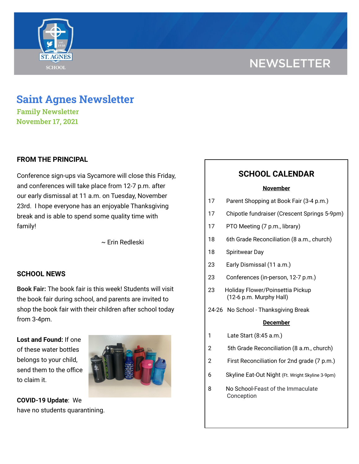# **NEWSLETTER**



## **Saint Agnes Newsletter**

**Family Newsletter November 17, 2021**

## **FROM THE PRINCIPAL**

Conference sign-ups via Sycamore will close this Friday, and conferences will take place from 12-7 p.m. after our early dismissal at 11 a.m. on Tuesday, November 23rd. I hope everyone has an enjoyable Thanksgiving break and is able to spend some quality time with family!

~ Erin Redleski

### **SCHOOL NEWS**

**Book Fair:** The book fair is this week! Students will visit the book fair during school, and parents are invited to shop the book fair with their children after school today from 3-4pm.

**Lost and Found:** If one of these water bottles belongs to your child, send them to the office to claim it.



**COVID-19 Update**: We have no students quarantining.

## **SCHOOL CALENDAR**

#### **November**

| 17 | Parent Shopping at Book Fair (3-4 p.m.) |
|----|-----------------------------------------|
|----|-----------------------------------------|

- 17 Chipotle fundraiser (Crescent Springs 5-9pm)
- 17 PTO Meeting (7 p.m., library)
- 18 6th Grade Reconciliation (8 a.m., church)
- 18 Spiritwear Day
- 23 Early Dismissal (11 a.m.)
- 23 Conferences (in-person, 12-7 p.m.)
- 23 Holiday Flower/Poinsettia Pickup (12-6 p.m. Murphy Hall)
- 24-26 No School Thanksgiving Break

#### **December**

- 1 Late Start (8:45 a.m.)
- 2 5th Grade Reconciliation (8 a.m., church)
- 2 First Reconciliation for 2nd grade (7 p.m.)
- 6 Skyline Eat-Out Night (Ft. Wright Skyline 3-9pm)
- 8 No School-Feast of the Immaculate Conception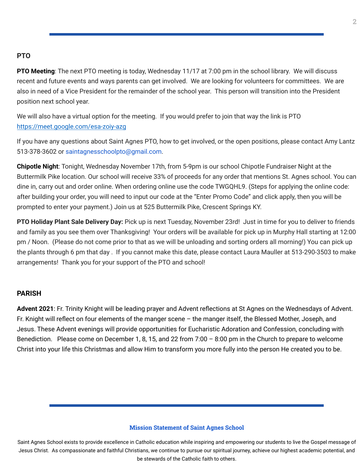### **PTO**

**PTO Meeting**: The next PTO meeting is today, Wednesday 11/17 at 7:00 pm in the school library. We will discuss recent and future events and ways parents can get involved. We are looking for volunteers for committees. We are also in need of a Vice President for the remainder of the school year. This person will transition into the President position next school year.

We will also have a virtual option for the meeting. If you would prefer to join that way the link is PTO <https://meet.google.com/esa-zoiy-azg>

If you have any questions about Saint Agnes PTO, how to get involved, or the open positions, please contact Amy Lantz 513-378-3602 or saintagnesschoolpto@gmail.com.

**Chipotle Night**: Tonight, Wednesday November 17th, from 5-9pm is our school Chipotle Fundraiser Night at the Buttermilk Pike location. Our school will receive 33% of proceeds for any order that mentions St. Agnes school. You can dine in, carry out and order online. When ordering online use the code TWGQHL9. (Steps for applying the online code: after building your order, you will need to input our code at the "Enter Promo Code" and click apply, then you will be prompted to enter your payment.) Join us at 525 Buttermilk Pike, Crescent Springs KY.

**PTO Holiday Plant Sale Delivery Day:** Pick up is next Tuesday, November 23rd! Just in time for you to deliver to friends and family as you see them over Thanksgiving! Your orders will be available for pick up in Murphy Hall starting at 12:00 pm / Noon. (Please do not come prior to that as we will be unloading and sorting orders all morning!) You can pick up the plants through 6 pm that day . If you cannot make this date, please contact Laura Mauller at 513-290-3503 to make arrangements! Thank you for your support of the PTO and school!

#### **PARISH**

**Advent 2021**: Fr. Trinity Knight will be leading prayer and Advent reflections at St Agnes on the Wednesdays of Advent. Fr. Knight will reflect on four elements of the manger scene – the manger itself, the Blessed Mother, Joseph, and Jesus. These Advent evenings will provide opportunities for Eucharistic Adoration and Confession, concluding with Benediction. Please come on December 1, 8, 15, and 22 from 7:00 – 8:00 pm in the Church to prepare to welcome Christ into your life this Christmas and allow Him to transform you more fully into the person He created you to be.

#### **Mission Statement of Saint Agnes School**

Saint Agnes School exists to provide excellence in Catholic education while inspiring and empowering our students to live the Gospel message of Jesus Christ. As compassionate and faithful Christians, we continue to pursue our spiritual journey, achieve our highest academic potential, and be stewards of the Catholic faith to others.